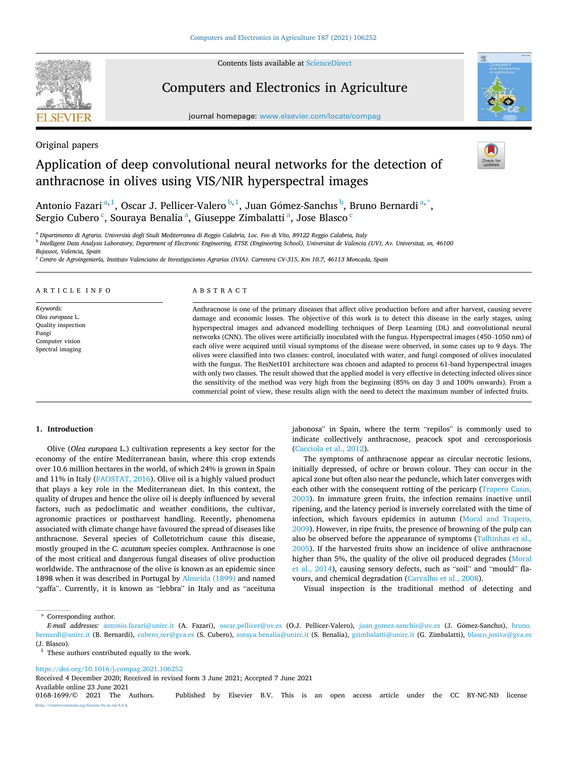Contents lists available at [ScienceDirect](www.sciencedirect.com/science/journal/01681699)



# Computers and Electronics in Agriculture

journal homepage: [www.elsevier.com/locate/compag](https://www.elsevier.com/locate/compag) 



Original papers

# Application of deep convolutional neural networks for the detection of anthracnose in olives using VIS/NIR hyperspectral images



Antonio Fazari<sup>a, 1</sup>, Oscar J. Pellicer-Valero <sup>b, 1</sup>, Juan Gómez-Sanchıs <sup>b</sup>, Bruno Bernardi<sup>a, \*</sup>, Sergio Cubero <sup>c</sup>, Souraya Benalia <sup>a</sup>, Giuseppe Zimbalatti <sup>a</sup>, Jose Blasco <sup>c</sup>

<sup>a</sup> *Dipartimento di Agraria. Universita* ` *degli Studi Mediterranea di Reggio Calabria, Loc. Feo di Vito, 89122 Reggio Calabria, Italy* 

<sup>b</sup> Intelligent Data Analysis Laboratory, Department of Electronic Engineering, ETSE (Engineering School), Universitat de València (UV), Av. Universitat, sn, 46100

*Bujassot, Valencia, Spain* 

<sup>c</sup> *Centro de Agroingeniería, Instituto Valenciano de Investigaciones Agrarias (IVIA). Carretera CV-315, Km 10.7, 46113 Moncada, Spain* 

# ARTICLE INFO

*Keywords: Olea europaea* L. Quality inspection Fungi Computer vision Spectral imaging

# ABSTRACT

Anthracnose is one of the primary diseases that affect olive production before and after harvest, causing severe damage and economic losses. The objective of this work is to detect this disease in the early stages, using hyperspectral images and advanced modelling techniques of Deep Learning (DL) and convolutional neural networks (CNN). The olives were artificially inoculated with the fungus. Hyperspectral images (450–1050 nm) of each olive were acquired until visual symptoms of the disease were observed, in some cases up to 9 days. The olives were classified into two classes: control, inoculated with water, and fungi composed of olives inoculated with the fungus. The ResNet101 architecture was chosen and adapted to process 61-band hyperspectral images with only two classes. The result showed that the applied model is very effective in detecting infected olives since the sensitivity of the method was very high from the beginning (85% on day 3 and 100% onwards). From a commercial point of view, these results align with the need to detect the maximum number of infected fruits.

## **1. Introduction**

Olive (*Olea europaea* L.) cultivation represents a key sector for the economy of the entire Mediterranean basin, where this crop extends over 10.6 million hectares in the world, of which 24% is grown in Spain and 11% in Italy ([FAOSTAT, 2016\)](#page-7-0). Olive oil is a highly valued product that plays a key role in the Mediterranean diet. In this context, the quality of drupes and hence the olive oil is deeply influenced by several factors, such as pedoclimatic and weather conditions, the cultivar, agronomic practices or postharvest handling. Recently, phenomena associated with climate change have favoured the spread of diseases like anthracnose. Several species of Colletotrichum cause this disease, mostly grouped in the *C. acutatum* species complex. Anthracnose is one of the most critical and dangerous fungal diseases of olive production worldwide. The anthracnose of the olive is known as an epidemic since 1898 when it was described in Portugal by [Almeida \(1899\)](#page-7-0) and named "gaffa". Currently, it is known as "lebbra" in Italy and as "aceituna jabonosa" in Spain, where the term "repilos" is commonly used to indicate collectively anthracnose, peacock spot and cercosporiosis ([Cacciola et al., 2012\)](#page-7-0).

The symptoms of anthracnose appear as circular necrotic lesions, initially depressed, of ochre or brown colour. They can occur in the apical zone but often also near the peduncle, which later converges with each other with the consequent rotting of the pericarp ([Trapero Casas,](#page-8-0)  [2003\)](#page-8-0). In immature green fruits, the infection remains inactive until ripening, and the latency period is inversely correlated with the time of infection, which favours epidemics in autumn [\(Moral and Trapero,](#page-7-0)  [2009\)](#page-7-0). However, in ripe fruits, the presence of browning of the pulp can also be observed before the appearance of symptoms [\(Talhinhas et al.,](#page-8-0)  [2005\)](#page-8-0). If the harvested fruits show an incidence of olive anthracnose higher than 5%, the quality of the olive oil produced degrades ([Moral](#page-7-0)  [et al., 2014](#page-7-0)), causing sensory defects, such as "soil" and "mould" flavours, and chemical degradation ([Carvalho et al., 2008\)](#page-7-0).

Visual inspection is the traditional method of detecting and

\* Corresponding author.

<https://doi.org/10.1016/j.compag.2021.106252>

Received 4 December 2020; Received in revised form 3 June 2021; Accepted 7 June 2021

Available online 23 June 2021<br>0168-1699/© 2021 The Authors.

*E-mail addresses:* [antonio.fazari@unirc.it](mailto:antonio.fazari@unirc.it) (A. Fazari), [oscar.pellicer@uv.es](mailto:oscar.pellicer@uv.es) (O.J. Pellicer-Valero), [juan.gomez-sanchis@uv.es](mailto:juan.gomez-sanchis@uv.es) (J. Gomez-Sanchıs), ´ [bruno.](mailto:bruno.bernardi@unirc.it)  [bernardi@unirc.it](mailto:bruno.bernardi@unirc.it) (B. Bernardi), [cubero\\_ser@gva.es](mailto:cubero_ser@gva.es) (S. Cubero), [soraya.benalia@unirc.it](mailto:soraya.benalia@unirc.it) (S. Benalia), [gzimbalatti@unirc.it](mailto:gzimbalatti@unirc.it) (G. Zimbalatti), blasco\_josiva@gva.es (J. Blasco).

 $1$  These authors contributed equally to the work.

Published by Elsevier B.V. This is an open access article under the CC BY-NC-ND license (http://licenses/by-nc-nd/4.0/).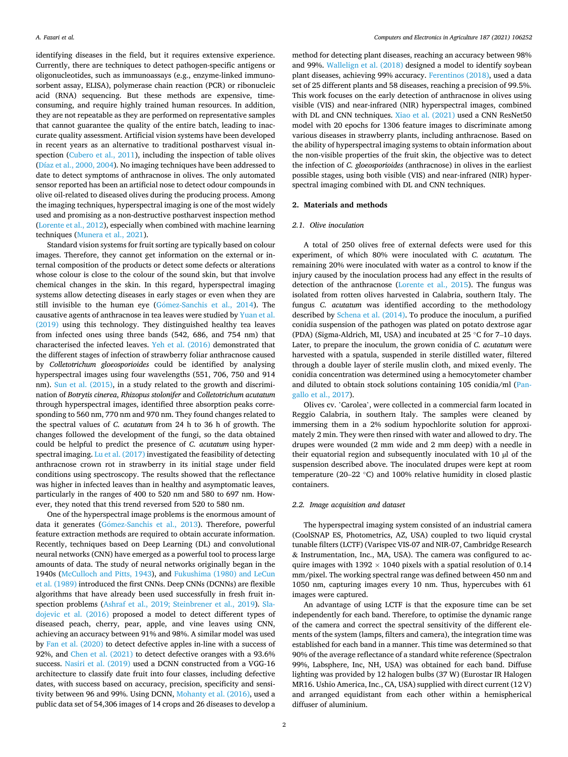identifying diseases in the field, but it requires extensive experience. Currently, there are techniques to detect pathogen-specific antigens or oligonucleotides, such as immunoassays (e.g., enzyme-linked immunosorbent assay, ELISA), polymerase chain reaction (PCR) or ribonucleic acid (RNA) sequencing. But these methods are expensive, timeconsuming, and require highly trained human resources. In addition, they are not repeatable as they are performed on representative samples that cannot guarantee the quality of the entire batch, leading to inaccurate quality assessment. Artificial vision systems have been developed in recent years as an alternative to traditional postharvest visual inspection ([Cubero et al., 2011\)](#page-7-0), including the inspection of table olives ([Díaz et al., 2000, 2004](#page-7-0)). No imaging techniques have been addressed to date to detect symptoms of anthracnose in olives. The only automated sensor reported has been an artificial nose to detect odour compounds in olive oil-related to diseased olives during the producing process. Among the imaging techniques, hyperspectral imaging is one of the most widely used and promising as a non-destructive postharvest inspection method ([Lorente et al., 2012\)](#page-7-0), especially when combined with machine learning techniques ([Munera et al., 2021\)](#page-7-0).

Standard vision systems for fruit sorting are typically based on colour images. Therefore, they cannot get information on the external or internal composition of the products or detect some defects or alterations whose colour is close to the colour of the sound skin, but that involve chemical changes in the skin. In this regard, hyperspectral imaging systems allow detecting diseases in early stages or even when they are still invisible to the human eye (Gómez-Sanchis et al., 2014). The causative agents of anthracnose in tea leaves were studied by [Yuan et al.](#page-8-0)  [\(2019\)](#page-8-0) using this technology. They distinguished healthy tea leaves from infected ones using three bands (542, 686, and 754 nm) that characterised the infected leaves. [Yeh et al. \(2016\)](#page-8-0) demonstrated that the different stages of infection of strawberry foliar anthracnose caused by *Colletotrichum gloeosporioides* could be identified by analysing hyperspectral images using four wavelengths (551, 706, 750 and 914 nm). [Sun et al. \(2015\)](#page-8-0), in a study related to the growth and discrimination of *Botrytis cinerea*, *Rhizopus stolonifer* and *Colletotrichum acutatum*  through hyperspectral images, identified three absorption peaks corresponding to 560 nm, 770 nm and 970 nm. They found changes related to the spectral values of *C. acutatum* from 24 h to 36 h of growth. The changes followed the development of the fungi, so the data obtained could be helpful to predict the presence of *C. acutatum* using hyperspectral imaging. [Lu et al. \(2017\)](#page-7-0) investigated the feasibility of detecting anthracnose crown rot in strawberry in its initial stage under field conditions using spectroscopy. The results showed that the reflectance was higher in infected leaves than in healthy and asymptomatic leaves, particularly in the ranges of 400 to 520 nm and 580 to 697 nm. However, they noted that this trend reversed from 520 to 580 nm.

One of the hyperspectral image problems is the enormous amount of data it generates (Gómez-Sanchis et al., 2013). Therefore, powerful feature extraction methods are required to obtain accurate information. Recently, techniques based on Deep Learning (DL) and convolutional neural networks (CNN) have emerged as a powerful tool to process large amounts of data. The study of neural networks originally began in the 1940s [\(McCulloch and Pitts, 1943\)](#page-7-0), and [Fukushima \(1980\) and LeCun](#page-7-0)  [et al. \(1989\)](#page-7-0) introduced the first CNNs. Deep CNNs (DCNNs) are flexible algorithms that have already been used successfully in fresh fruit inspection problems ([Ashraf et al., 2019; Steinbrener et al., 2019](#page-7-0)). [Sla](#page-8-0)[dojevic et al. \(2016\)](#page-8-0) proposed a model to detect different types of diseased peach, cherry, pear, apple, and vine leaves using CNN, achieving an accuracy between 91% and 98%. A similar model was used by [Fan et al. \(2020\)](#page-7-0) to detect defective apples in-line with a success of 92%, and [Chen et al. \(2021\)](#page-7-0) to detect defective oranges with a 93.6% success. [Nasiri et al. \(2019\)](#page-7-0) used a DCNN constructed from a VGG-16 architecture to classify date fruit into four classes, including defective dates, with success based on accuracy, precision, specificity and sensitivity between 96 and 99%. Using DCNN, [Mohanty et al. \(2016\)](#page-7-0), used a public data set of 54,306 images of 14 crops and 26 diseases to develop a

method for detecting plant diseases, reaching an accuracy between 98% and 99%. [Wallelign et al. \(2018\)](#page-8-0) designed a model to identify soybean plant diseases, achieving 99% accuracy. [Ferentinos \(2018\)](#page-7-0), used a data set of 25 different plants and 58 diseases, reaching a precision of 99.5%. This work focuses on the early detection of anthracnose in olives using visible (VIS) and near-infrared (NIR) hyperspectral images, combined with DL and CNN techniques. [Xiao et al. \(2021\)](#page-8-0) used a CNN ResNet50 model with 20 epochs for 1306 feature images to discriminate among various diseases in strawberry plants, including anthracnose. Based on the ability of hyperspectral imaging systems to obtain information about the non-visible properties of the fruit skin, the objective was to detect the infection of *C. gloeosporioides* (anthracnose) in olives in the earliest possible stages, using both visible (VIS) and near-infrared (NIR) hyperspectral imaging combined with DL and CNN techniques.

#### **2. Materials and methods**

## *2.1. Olive inoculation*

A total of 250 olives free of external defects were used for this experiment, of which 80% were inoculated with *C. acutatum.* The remaining 20% were inoculated with water as a control to know if the injury caused by the inoculation process had any effect in the results of detection of the anthracnose ([Lorente et al., 2015](#page-7-0)). The fungus was isolated from rotten olives harvested in Calabria, southern Italy. The fungus *C. acutatum* was identified according to the methodology described by [Schena et al. \(2014\).](#page-7-0) To produce the inoculum, a purified conidia suspension of the pathogen was plated on potato dextrose agar (PDA) (Sigma-Aldrich, MI, USA) and incubated at 25 ◦C for 7–10 days. Later, to prepare the inoculum, the grown conidia of *C. acutatum* were harvested with a spatula, suspended in sterile distilled water, filtered through a double layer of sterile muslin cloth, and mixed evenly. The conidia concentration was determined using a hemocytometer chamber and diluted to obtain stock solutions containing 105 conidia/ml ([Pan](#page-7-0)[gallo et al., 2017\)](#page-7-0).

Olives cv. 'Carolea', were collected in a commercial farm located in Reggio Calabria, in southern Italy. The samples were cleaned by immersing them in a 2% sodium hypochlorite solution for approximately 2 min. They were then rinsed with water and allowed to dry. The drupes were wounded (2 mm wide and 2 mm deep) with a needle in their equatorial region and subsequently inoculated with 10 µl of the suspension described above. The inoculated drupes were kept at room temperature (20–22 ◦C) and 100% relative humidity in closed plastic containers.

## *2.2. Image acquisition and dataset*

The hyperspectral imaging system consisted of an industrial camera (CoolSNAP ES, Photometrics, AZ, USA) coupled to two liquid crystal tunable filters (LCTF) (Varispec VIS-07 and NIR-07, Cambridge Research & Instrumentation, Inc., MA, USA). The camera was configured to acquire images with 1392  $\times$  1040 pixels with a spatial resolution of 0.14 mm/pixel. The working spectral range was defined between 450 nm and 1050 nm, capturing images every 10 nm. Thus, hypercubes with 61 images were captured.

An advantage of using LCTF is that the exposure time can be set independently for each band. Therefore, to optimise the dynamic range of the camera and correct the spectral sensitivity of the different elements of the system (lamps, filters and camera), the integration time was established for each band in a manner. This time was determined so that 90% of the average reflectance of a standard white reference (Spectralon 99%, Labsphere, Inc, NH, USA) was obtained for each band. Diffuse lighting was provided by 12 halogen bulbs (37 W) (Eurostar IR Halogen MR16. Ushio America, Inc., CA, USA) supplied with direct current (12 V) and arranged equidistant from each other within a hemispherical diffuser of aluminium.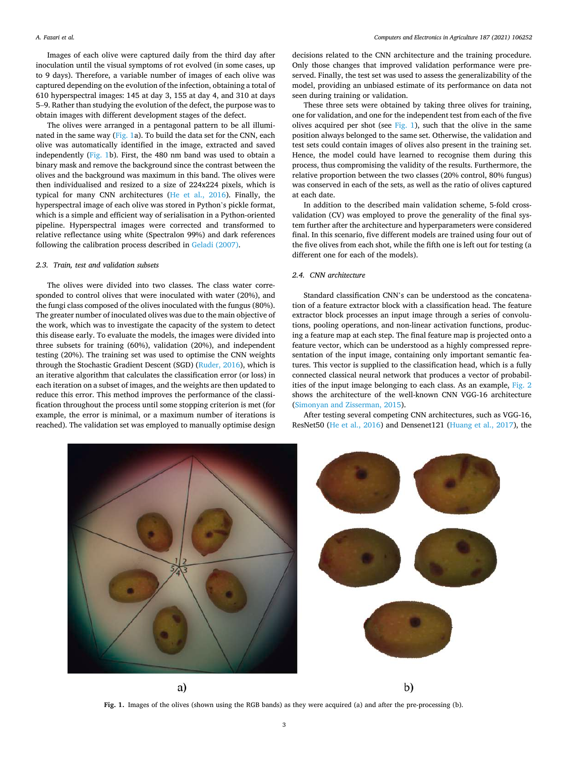Images of each olive were captured daily from the third day after inoculation until the visual symptoms of rot evolved (in some cases, up to 9 days). Therefore, a variable number of images of each olive was captured depending on the evolution of the infection, obtaining a total of 610 hyperspectral images: 145 at day 3, 155 at day 4, and 310 at days 5–9. Rather than studying the evolution of the defect, the purpose was to obtain images with different development stages of the defect.

The olives were arranged in a pentagonal pattern to be all illuminated in the same way (Fig. 1a). To build the data set for the CNN, each olive was automatically identified in the image, extracted and saved independently (Fig. 1b). First, the 480 nm band was used to obtain a binary mask and remove the background since the contrast between the olives and the background was maximum in this band. The olives were then individualised and resized to a size of 224x224 pixels, which is typical for many CNN architectures [\(He et al., 2016\)](#page-7-0). Finally, the hyperspectral image of each olive was stored in Python's pickle format, which is a simple and efficient way of serialisation in a Python-oriented pipeline. Hyperspectral images were corrected and transformed to relative reflectance using white (Spectralon 99%) and dark references following the calibration process described in [Geladi \(2007\)](#page-7-0).

### *2.3. Train, test and validation subsets*

The olives were divided into two classes. The class water corresponded to control olives that were inoculated with water (20%), and the fungi class composed of the olives inoculated with the fungus (80%). The greater number of inoculated olives was due to the main objective of the work, which was to investigate the capacity of the system to detect this disease early. To evaluate the models, the images were divided into three subsets for training (60%), validation (20%), and independent testing (20%). The training set was used to optimise the CNN weights through the Stochastic Gradient Descent (SGD) [\(Ruder, 2016\)](#page-7-0), which is an iterative algorithm that calculates the classification error (or loss) in each iteration on a subset of images, and the weights are then updated to reduce this error. This method improves the performance of the classification throughout the process until some stopping criterion is met (for example, the error is minimal, or a maximum number of iterations is reached). The validation set was employed to manually optimise design

decisions related to the CNN architecture and the training procedure. Only those changes that improved validation performance were preserved. Finally, the test set was used to assess the generalizability of the model, providing an unbiased estimate of its performance on data not seen during training or validation.

These three sets were obtained by taking three olives for training, one for validation, and one for the independent test from each of the five olives acquired per shot (see  $Fig. 1$ ), such that the olive in the same position always belonged to the same set. Otherwise, the validation and test sets could contain images of olives also present in the training set. Hence, the model could have learned to recognise them during this process, thus compromising the validity of the results. Furthermore, the relative proportion between the two classes (20% control, 80% fungus) was conserved in each of the sets, as well as the ratio of olives captured at each date.

In addition to the described main validation scheme, 5-fold crossvalidation (CV) was employed to prove the generality of the final system further after the architecture and hyperparameters were considered final. In this scenario, five different models are trained using four out of the five olives from each shot, while the fifth one is left out for testing (a different one for each of the models).

# *2.4. CNN architecture*

Standard classification CNN's can be understood as the concatenation of a feature extractor block with a classification head. The feature extractor block processes an input image through a series of convolutions, pooling operations, and non-linear activation functions, producing a feature map at each step. The final feature map is projected onto a feature vector, which can be understood as a highly compressed representation of the input image, containing only important semantic features. This vector is supplied to the classification head, which is a fully connected classical neural network that produces a vector of probabilities of the input image belonging to each class. As an example, [Fig. 2](#page-3-0)  shows the architecture of the well-known CNN VGG-16 architecture ([Simonyan and Zisserman, 2015\)](#page-8-0).

After testing several competing CNN architectures, such as VGG-16, ResNet50 ([He et al., 2016](#page-7-0)) and Densenet121 ([Huang et al., 2017\)](#page-7-0), the



**Fig. 1.** Images of the olives (shown using the RGB bands) as they were acquired (a) and after the pre-processing (b).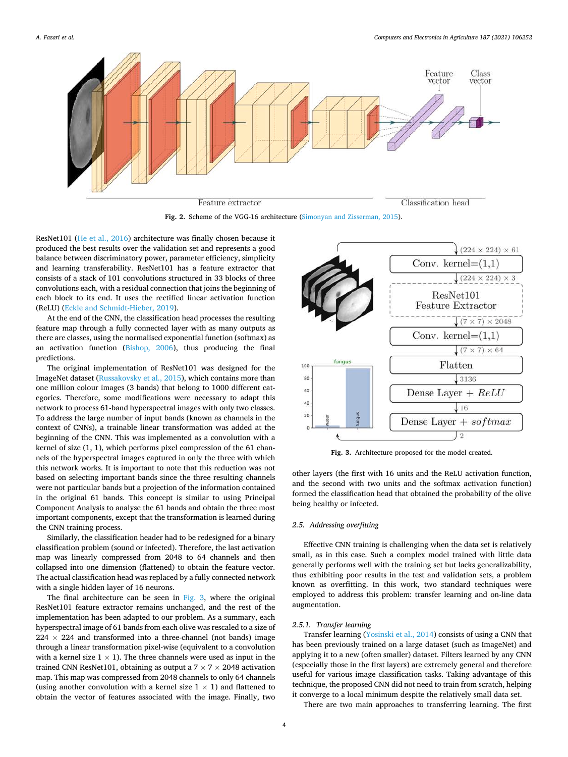<span id="page-3-0"></span>

**Fig. 2.** Scheme of the VGG-16 architecture ([Simonyan and Zisserman, 2015\)](#page-8-0).

ResNet101 [\(He et al., 2016](#page-7-0)) architecture was finally chosen because it produced the best results over the validation set and represents a good balance between discriminatory power, parameter efficiency, simplicity and learning transferability. ResNet101 has a feature extractor that consists of a stack of 101 convolutions structured in 33 blocks of three convolutions each, with a residual connection that joins the beginning of each block to its end. It uses the rectified linear activation function (ReLU) ([Eckle and Schmidt-Hieber, 2019](#page-7-0)).

At the end of the CNN, the classification head processes the resulting feature map through a fully connected layer with as many outputs as there are classes, using the normalised exponential function (softmax) as an activation function ([Bishop, 2006\)](#page-7-0), thus producing the final predictions.

The original implementation of ResNet101 was designed for the ImageNet dataset ([Russakovsky et al., 2015](#page-7-0)), which contains more than one million colour images (3 bands) that belong to 1000 different categories. Therefore, some modifications were necessary to adapt this network to process 61-band hyperspectral images with only two classes. To address the large number of input bands (known as channels in the context of CNNs), a trainable linear transformation was added at the beginning of the CNN. This was implemented as a convolution with a kernel of size (1, 1), which performs pixel compression of the 61 channels of the hyperspectral images captured in only the three with which this network works. It is important to note that this reduction was not based on selecting important bands since the three resulting channels were not particular bands but a projection of the information contained in the original 61 bands. This concept is similar to using Principal Component Analysis to analyse the 61 bands and obtain the three most important components, except that the transformation is learned during the CNN training process.

Similarly, the classification header had to be redesigned for a binary classification problem (sound or infected). Therefore, the last activation map was linearly compressed from 2048 to 64 channels and then collapsed into one dimension (flattened) to obtain the feature vector. The actual classification head was replaced by a fully connected network with a single hidden layer of 16 neurons.

The final architecture can be seen in Fig. 3, where the original ResNet101 feature extractor remains unchanged, and the rest of the implementation has been adapted to our problem. As a summary, each hyperspectral image of 61 bands from each olive was rescaled to a size of  $224 \times 224$  and transformed into a three-channel (not bands) image through a linear transformation pixel-wise (equivalent to a convolution with a kernel size  $1 \times 1$ ). The three channels were used as input in the trained CNN ResNet101, obtaining as output a  $7 \times 7 \times 2048$  activation map. This map was compressed from 2048 channels to only 64 channels (using another convolution with a kernel size  $1 \times 1$ ) and flattened to obtain the vector of features associated with the image. Finally, two



**Fig. 3.** Architecture proposed for the model created.

other layers (the first with 16 units and the ReLU activation function, and the second with two units and the softmax activation function) formed the classification head that obtained the probability of the olive being healthy or infected.

# *2.5. Addressing overfitting*

Effective CNN training is challenging when the data set is relatively small, as in this case. Such a complex model trained with little data generally performs well with the training set but lacks generalizability, thus exhibiting poor results in the test and validation sets, a problem known as overfitting. In this work, two standard techniques were employed to address this problem: transfer learning and on-line data augmentation.

#### *2.5.1. Transfer learning*

Transfer learning ([Yosinski et al., 2014\)](#page-8-0) consists of using a CNN that has been previously trained on a large dataset (such as ImageNet) and applying it to a new (often smaller) dataset. Filters learned by any CNN (especially those in the first layers) are extremely general and therefore useful for various image classification tasks. Taking advantage of this technique, the proposed CNN did not need to train from scratch, helping it converge to a local minimum despite the relatively small data set.

There are two main approaches to transferring learning. The first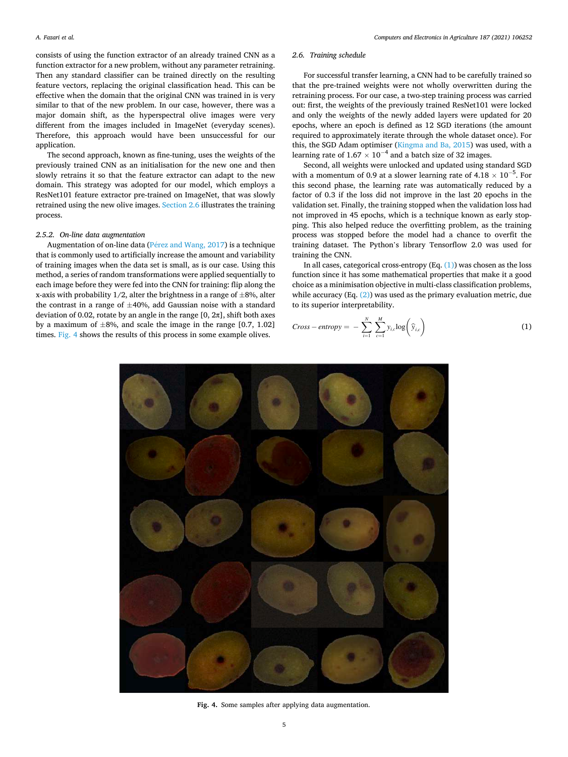<span id="page-4-0"></span>consists of using the function extractor of an already trained CNN as a function extractor for a new problem, without any parameter retraining. Then any standard classifier can be trained directly on the resulting feature vectors, replacing the original classification head. This can be effective when the domain that the original CNN was trained in is very similar to that of the new problem. In our case, however, there was a major domain shift, as the hyperspectral olive images were very different from the images included in ImageNet (everyday scenes). Therefore, this approach would have been unsuccessful for our application.

The second approach, known as fine-tuning, uses the weights of the previously trained CNN as an initialisation for the new one and then slowly retrains it so that the feature extractor can adapt to the new domain. This strategy was adopted for our model, which employs a ResNet101 feature extractor pre-trained on ImageNet, that was slowly retrained using the new olive images. Section 2.6 illustrates the training process.

# *2.5.2. On-line data augmentation*

Augmentation of on-line data ( $P$  $érez$  and Wang, 2017) is a technique that is commonly used to artificially increase the amount and variability of training images when the data set is small, as is our case. Using this method, a series of random transformations were applied sequentially to each image before they were fed into the CNN for training: flip along the x-axis with probability  $1/2$ , alter the brightness in a range of  $\pm 8\%$ , alter the contrast in a range of  $\pm 40$ %, add Gaussian noise with a standard deviation of 0.02, rotate by an angle in the range  $[0, 2\pi]$ , shift both axes by a maximum of  $\pm 8\%$ , and scale the image in the range [0.7, 1.02] times. Fig. 4 shows the results of this process in some example olives.

# *2.6. Training schedule*

For successful transfer learning, a CNN had to be carefully trained so that the pre-trained weights were not wholly overwritten during the retraining process. For our case, a two-step training process was carried out: first, the weights of the previously trained ResNet101 were locked and only the weights of the newly added layers were updated for 20 epochs, where an epoch is defined as 12 SGD iterations (the amount required to approximately iterate through the whole dataset once). For this, the SGD Adam optimiser [\(Kingma and Ba, 2015](#page-7-0)) was used, with a learning rate of  $1.67 \times 10^{-4}$  and a batch size of 32 images.

Second, all weights were unlocked and updated using standard SGD with a momentum of 0.9 at a slower learning rate of 4.18  $\times$  10<sup>-5</sup>. For this second phase, the learning rate was automatically reduced by a factor of 0.3 if the loss did not improve in the last 20 epochs in the validation set. Finally, the training stopped when the validation loss had not improved in 45 epochs, which is a technique known as early stopping. This also helped reduce the overfitting problem, as the training process was stopped before the model had a chance to overfit the training dataset. The Python's library Tensorflow 2.0 was used for training the CNN.

In all cases, categorical cross-entropy  $(Eq. (1))$  was chosen as the loss function since it has some mathematical properties that make it a good choice as a minimisation objective in multi-class classification problems, while accuracy (Eq.  $(2)$ ) was used as the primary evaluation metric, due to its superior interpretability.

$$
Cross-entropy = -\sum_{i=1}^{N} \sum_{c=1}^{M} y_{i,c} \log \left(\widehat{y}_{i,c}\right)
$$
 (1)



**Fig. 4.** Some samples after applying data augmentation.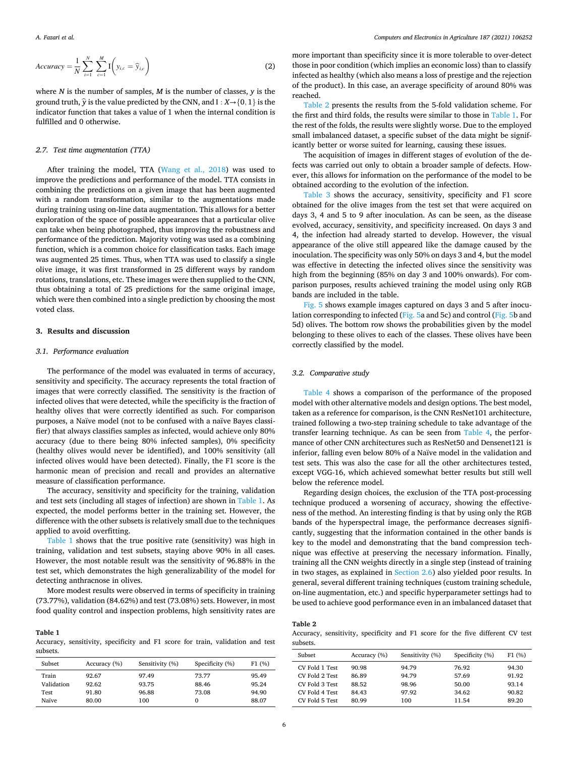<span id="page-5-0"></span>
$$
Accuracy = \frac{1}{N} \sum_{i=1}^{N} \sum_{c=1}^{M} I\left(y_{i,c} = \widehat{y}_{i,c}\right)
$$
 (2)

where *N* is the number of samples, *M* is the number of classes, *y* is the ground truth,  $\hat{y}$  is the value predicted by the CNN, and I :  $X \rightarrow \{0, 1\}$  is the indicator function that takes a value of 1 when the internal condition is fulfilled and 0 otherwise.

## *2.7. Test time augmentation (TTA)*

After training the model, TTA ([Wang et al., 2018\)](#page-8-0) was used to improve the predictions and performance of the model. TTA consists in combining the predictions on a given image that has been augmented with a random transformation, similar to the augmentations made during training using on-line data augmentation. This allows for a better exploration of the space of possible appearances that a particular olive can take when being photographed, thus improving the robustness and performance of the prediction. Majority voting was used as a combining function, which is a common choice for classification tasks. Each image was augmented 25 times. Thus, when TTA was used to classify a single olive image, it was first transformed in 25 different ways by random rotations, translations, etc. These images were then supplied to the CNN, thus obtaining a total of 25 predictions for the same original image, which were then combined into a single prediction by choosing the most voted class.

## **3. Results and discussion**

#### *3.1. Performance evaluation*

The performance of the model was evaluated in terms of accuracy, sensitivity and specificity. The accuracy represents the total fraction of images that were correctly classified. The sensitivity is the fraction of infected olives that were detected, while the specificity is the fraction of healthy olives that were correctly identified as such. For comparison purposes, a Naïve model (not to be confused with a naïve Bayes classifier) that always classifies samples as infected, would achieve only 80% accuracy (due to there being 80% infected samples), 0% specificity (healthy olives would never be identified), and 100% sensitivity (all infected olives would have been detected). Finally, the F1 score is the harmonic mean of precision and recall and provides an alternative measure of classification performance.

The accuracy, sensitivity and specificity for the training, validation and test sets (including all stages of infection) are shown in Table 1. As expected, the model performs better in the training set. However, the difference with the other subsets is relatively small due to the techniques applied to avoid overfitting.

Table 1 shows that the true positive rate (sensitivity) was high in training, validation and test subsets, staying above 90% in all cases. However, the most notable result was the sensitivity of 96.88% in the test set, which demonstrates the high generalizability of the model for detecting anthracnose in olives.

More modest results were observed in terms of specificity in training (73.77%), validation (84.62%) and test (73.08%) sets. However, in most food quality control and inspection problems, high sensitivity rates are

# **Table 1**

Accuracy, sensitivity, specificity and F1 score for train, validation and test subsets.

| Subset     | Accuracy (%) | Sensitivity (%) | Specificity (%) | F1(%) |
|------------|--------------|-----------------|-----------------|-------|
| Train      | 92.67        | 97.49           | 73.77           | 95.49 |
| Validation | 92.62        | 93.75           | 88.46           | 95.24 |
| Test       | 91.80        | 96.88           | 73.08           | 94.90 |
| Naïve      | 80.00        | 100             | $\Omega$        | 88.07 |

more important than specificity since it is more tolerable to over-detect those in poor condition (which implies an economic loss) than to classify infected as healthy (which also means a loss of prestige and the rejection of the product). In this case, an average specificity of around 80% was reached.

Table 2 presents the results from the 5-fold validation scheme. For the first and third folds, the results were similar to those in Table 1. For the rest of the folds, the results were slightly worse. Due to the employed small imbalanced dataset, a specific subset of the data might be significantly better or worse suited for learning, causing these issues.

The acquisition of images in different stages of evolution of the defects was carried out only to obtain a broader sample of defects. However, this allows for information on the performance of the model to be obtained according to the evolution of the infection.

[Table 3](#page-6-0) shows the accuracy, sensitivity, specificity and F1 score obtained for the olive images from the test set that were acquired on days 3, 4 and 5 to 9 after inoculation. As can be seen, as the disease evolved, accuracy, sensitivity, and specificity increased. On days 3 and 4, the infection had already started to develop. However, the visual appearance of the olive still appeared like the damage caused by the inoculation. The specificity was only 50% on days 3 and 4, but the model was effective in detecting the infected olives since the sensitivity was high from the beginning (85% on day 3 and 100% onwards). For comparison purposes, results achieved training the model using only RGB bands are included in the table.

[Fig. 5](#page-6-0) shows example images captured on days 3 and 5 after inoculation corresponding to infected [\(Fig. 5](#page-6-0)a and 5c) and control [\(Fig. 5b](#page-6-0) and 5d) olives. The bottom row shows the probabilities given by the model belonging to these olives to each of the classes. These olives have been correctly classified by the model.

#### *3.2. Comparative study*

[Table 4](#page-6-0) shows a comparison of the performance of the proposed model with other alternative models and design options. The best model, taken as a reference for comparison, is the CNN ResNet101 architecture, trained following a two-step training schedule to take advantage of the transfer learning technique. As can be seen from [Table 4,](#page-6-0) the performance of other CNN architectures such as ResNet50 and Densenet121 is inferior, falling even below 80% of a Naïve model in the validation and test sets. This was also the case for all the other architectures tested, except VGG-16, which achieved somewhat better results but still well below the reference model.

Regarding design choices, the exclusion of the TTA post-processing technique produced a worsening of accuracy, showing the effectiveness of the method. An interesting finding is that by using only the RGB bands of the hyperspectral image, the performance decreases significantly, suggesting that the information contained in the other bands is key to the model and demonstrating that the band compression technique was effective at preserving the necessary information. Finally, training all the CNN weights directly in a single step (instead of training in two stages, as explained in [Section 2.6](#page-4-0)) also yielded poor results. In general, several different training techniques (custom training schedule, on-line augmentation, etc.) and specific hyperparameter settings had to be used to achieve good performance even in an imbalanced dataset that

#### **Table 2**

Accuracy, sensitivity, specificity and F1 score for the five different CV test subsets.

| Subset         | Accuracy (%) | Sensitivity (%) | Specificity (%) | F1(%) |
|----------------|--------------|-----------------|-----------------|-------|
| CV Fold 1 Test | 90.98        | 94.79           | 76.92           | 94.30 |
| CV Fold 2 Test | 86.89        | 94.79           | 57.69           | 91.92 |
| CV Fold 3 Test | 88.52        | 98.96           | 50.00           | 93.14 |
| CV Fold 4 Test | 84.43        | 97.92           | 34.62           | 90.82 |
| CV Fold 5 Test | 80.99        | 100             | 11.54           | 89.20 |
|                |              |                 |                 |       |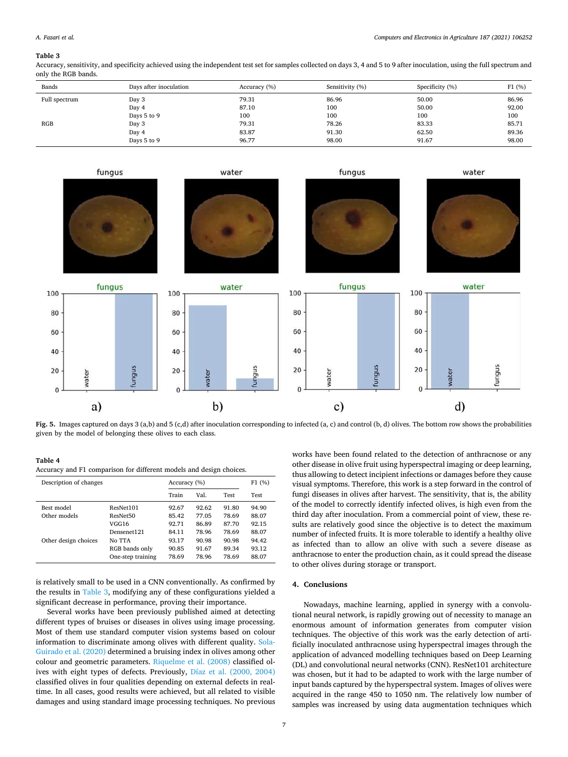#### <span id="page-6-0"></span>**Table 3**

Accuracy, sensitivity, and specificity achieved using the independent test set for samples collected on days 3, 4 and 5 to 9 after inoculation, using the full spectrum and only the RGB bands.

| Bands         | Days after inoculation | Accuracy (%) | Sensitivity (%) | Specificity (%) | F1(%) |
|---------------|------------------------|--------------|-----------------|-----------------|-------|
| Full spectrum | Day 3                  | 79.31        | 86.96           | 50.00           | 86.96 |
|               | Day 4                  | 87.10        | 100             | 50.00           | 92.00 |
|               | Days 5 to 9            | 100          | 100             | 100             | 100   |
| RGB           | Day 3                  | 79.31        | 78.26           | 83.33           | 85.71 |
|               | Day 4                  | 83.87        | 91.30           | 62.50           | 89.36 |
|               | Days 5 to 9            | 96.77        | 98.00           | 91.67           | 98.00 |



**Fig. 5.** Images captured on days 3 (a,b) and 5 (c,d) after inoculation corresponding to infected (a, c) and control (b, d) olives. The bottom row shows the probabilities given by the model of belonging these olives to each class.

#### **Table 4**

Accuracy and F1 comparison for different models and design choices.

| Description of changes | Accuracy (%)         |       |       | F1(%)       |       |
|------------------------|----------------------|-------|-------|-------------|-------|
|                        |                      | Train | Val.  | <b>Test</b> | Test  |
| Best model             | ResNet101            | 92.67 | 92.62 | 91.80       | 94.90 |
| Other models           | ResNet <sub>50</sub> | 85.42 | 77.05 | 78.69       | 88.07 |
|                        | VGG16                | 92.71 | 86.89 | 87.70       | 92.15 |
|                        | Densenet121          | 84.11 | 78.96 | 78.69       | 88.07 |
| Other design choices   | No TTA               | 93.17 | 90.98 | 90.98       | 94.42 |
|                        | RGB bands only       | 90.85 | 91.67 | 89.34       | 93.12 |
|                        | One-step training    | 78.69 | 78.96 | 78.69       | 88.07 |

is relatively small to be used in a CNN conventionally. As confirmed by the results in Table 3, modifying any of these configurations yielded a significant decrease in performance, proving their importance.

Several works have been previously published aimed at detecting different types of bruises or diseases in olives using image processing. Most of them use standard computer vision systems based on colour information to discriminate among olives with different quality. [Sola-](#page-8-0)[Guirado et al. \(2020\)](#page-8-0) determined a bruising index in olives among other colour and geometric parameters. [Riquelme et al. \(2008\)](#page-7-0) classified olives with eight types of defects. Previously, [Díaz et al. \(2000, 2004\)](#page-7-0)  classified olives in four qualities depending on external defects in realtime. In all cases, good results were achieved, but all related to visible damages and using standard image processing techniques. No previous

works have been found related to the detection of anthracnose or any other disease in olive fruit using hyperspectral imaging or deep learning, thus allowing to detect incipient infections or damages before they cause visual symptoms. Therefore, this work is a step forward in the control of fungi diseases in olives after harvest. The sensitivity, that is, the ability of the model to correctly identify infected olives, is high even from the third day after inoculation. From a commercial point of view, these results are relatively good since the objective is to detect the maximum number of infected fruits. It is more tolerable to identify a healthy olive as infected than to allow an olive with such a severe disease as anthracnose to enter the production chain, as it could spread the disease to other olives during storage or transport.

# **4. Conclusions**

Nowadays, machine learning, applied in synergy with a convolutional neural network, is rapidly growing out of necessity to manage an enormous amount of information generates from computer vision techniques. The objective of this work was the early detection of artificially inoculated anthracnose using hyperspectral images through the application of advanced modelling techniques based on Deep Learning (DL) and convolutional neural networks (CNN). ResNet101 architecture was chosen, but it had to be adapted to work with the large number of input bands captured by the hyperspectral system. Images of olives were acquired in the range 450 to 1050 nm. The relatively low number of samples was increased by using data augmentation techniques which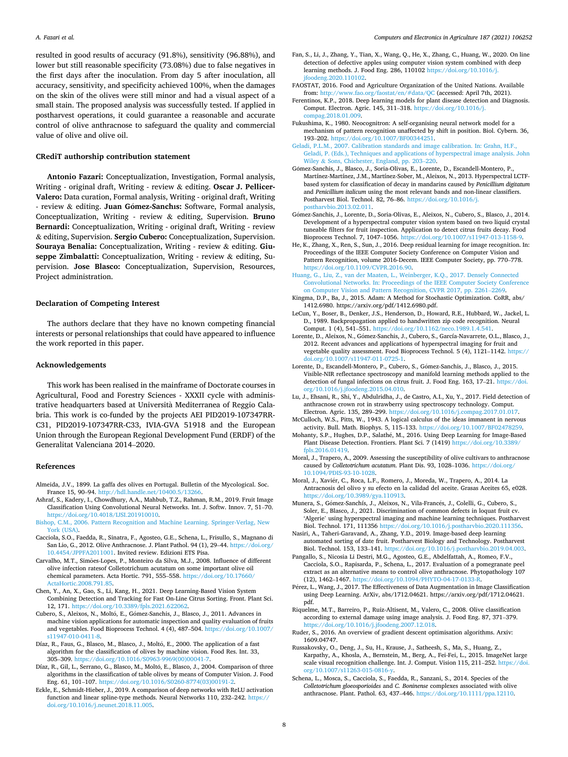<span id="page-7-0"></span>resulted in good results of accuracy (91.8%), sensitivity (96.88%), and lower but still reasonable specificity (73.08%) due to false negatives in the first days after the inoculation. From day 5 after inoculation, all accuracy, sensitivity, and specificity achieved 100%, when the damages on the skin of the olives were still minor and had a visual aspect of a small stain. The proposed analysis was successfully tested. If applied in postharvest operations, it could guarantee a reasonable and accurate control of olive anthracnose to safeguard the quality and commercial value of olive and olive oil.

## **CRediT authorship contribution statement**

**Antonio Fazari:** Conceptualization, Investigation, Formal analysis, Writing - original draft, Writing - review & editing. **Oscar J. Pellicer-Valero:** Data curation, Formal analysis, Writing - original draft, Writing - review & editing. **Juan Gómez-Sanchis:** Software, Formal analysis, Conceptualization, Writing - review & editing, Supervision. **Bruno Bernardi:** Conceptualization, Writing - original draft, Writing - review & editing, Supervision. **Sergio Cubero:** Conceptualization, Supervision. **Souraya Benalia:** Conceptualization, Writing - review & editing. **Giuseppe Zimbalatti:** Conceptualization, Writing - review & editing, Supervision. **Jose Blasco:** Conceptualization, Supervision, Resources, Project administration.

#### **Declaration of Competing Interest**

The authors declare that they have no known competing financial interests or personal relationships that could have appeared to influence the work reported in this paper.

#### **Acknowledgements**

This work has been realised in the mainframe of Doctorate courses in Agricultural, Food and Forestry Sciences - XXXII cycle with administrative headquarters based at Università Mediterranea of Reggio Calabria. This work is co-funded by the projects AEI PID2019-107347RR-C31, PID2019-107347RR-C33, IVIA-GVA 51918 and the European Union through the European Regional Development Fund (ERDF) of the Generalitat Valenciana 2014–2020.

#### **References**

- Almeida, J.V., 1899. La gaffa des olives en Portugal. Bulletin of the Mycological. Soc. France 15, 90–94. [http://hdl.handle.net/10400.5/13266.](http://hdl.handle.net/10400.5/13266)
- Ashraf, S., Kadery, I., Chowdhury, A.A., Mahbub, T.Z., Rahman, R.M., 2019. Fruit Image Classification Using Convolutional Neural Networks. Int. J. Softw. Innov. 7, 51–70. <https://doi.org/10.4018/IJSI.201910010>.
- [Bishop, C.M., 2006. Pattern Recognition and Machine Learning. Springer-Verlag, New](http://refhub.elsevier.com/S0168-1699(21)00269-6/h0020)  [York \(USA\).](http://refhub.elsevier.com/S0168-1699(21)00269-6/h0020)
- Cacciola, S.O., Faedda, R., Sinatra, F., Agosteo, G.E., Schena, L., Frisullo, S., Magnano di San Lio, G., 2012. Olive Anthracnose. J. Plant Pathol. 94 (1), 29–44. https://doi.org/ [10.4454/JPPFA2011001](https://doi.org/10.4454/JPPFA2011001). Invited review. Edizioni ETS Pisa.
- Carvalho, M.T., Simões-Lopes, P., Monteiro da Silva, M.J., 2008. Influence of different olive infection ratesof Colletotrichum acutatum on some important olive oil chemical parameters. Acta Hortic. 791, 555–558. [https://doi.org/10.17660/](https://doi.org/10.17660/ActaHortic.2008.791.85) [ActaHortic.2008.791.85.](https://doi.org/10.17660/ActaHortic.2008.791.85)
- Chen, Y., An, X., Gao, S., Li, Kang, H., 2021. Deep Learning-Based Vision System Combining Detection and Tracking for Fast On-Line Citrus Sorting. Front. Plant Sci. 12, 171. [https://doi.org/10.3389/fpls.2021.622062.](https://doi.org/10.3389/fpls.2021.622062)
- Cubero, S., Aleixos, N., Moltó, E., Gómez-Sanchis, J., Blasco, J., 2011. Advances in machine vision applications for automatic inspection and quality evaluation of fruits and vegetables. Food Bioprocess Technol. 4 (4), 487–504. [https://doi.org/10.1007/](https://doi.org/10.1007/s11947-010-0411-8)  [s11947-010-0411-8.](https://doi.org/10.1007/s11947-010-0411-8)
- Díaz, R., Faus, G., Blasco, M., Blasco, J., Moltó, E., 2000. The application of a fast algorithm for the classification of olives by machine vision. Food Res. Int. 33, 305–309. [https://doi.org/10.1016/S0963-9969\(00\)00041-7.](https://doi.org/10.1016/S0963-9969(00)00041-7)
- Díaz, R., Gil, L., Serrano, G., Blasco, M., Moltó, E., Blasco, J., 2004. Comparison of three algorithms in the classification of table olives by means of Computer Vision. J. Food Eng. 61, 101–107. [https://doi.org/10.1016/S0260-8774\(03\)00191-2](https://doi.org/10.1016/S0260-8774(03)00191-2).
- Eckle, E., Schmidt-Hieber, J., 2019. A comparison of deep networks with ReLU activation function and linear spline-type methods. Neural Networks 110, 232–242. [https://](https://doi.org/10.1016/j.neunet.2018.11.005)  [doi.org/10.1016/j.neunet.2018.11.005.](https://doi.org/10.1016/j.neunet.2018.11.005)
- Fan, S., Li, J., Zhang, Y., Tian, X., Wang, Q., He, X., Zhang, C., Huang, W., 2020. On line detection of defective apples using computer vision system combined with deep learning methods. J. Food Eng. 286, 110102 [https://doi.org/10.1016/j.](https://doi.org/10.1016/j.jfoodeng.2020.110102) [jfoodeng.2020.110102.](https://doi.org/10.1016/j.jfoodeng.2020.110102)
- FAOSTAT, 2016. Food and Agriculture Organization of the United Nations. Available from: [http://www.fao.org/faostat/en/#data/QC](http://www.fao.org/faostat/en/%23data/QC) (accessed: April 7th, 2021).
- Ferentinos, K.P., 2018. Deep learning models for plant disease detection and Diagnosis. Comput. Electron. Agric. 145, 311–318. [https://doi.org/10.1016/j.](https://doi.org/10.1016/j.compag.2018.01.009)  [compag.2018.01.009](https://doi.org/10.1016/j.compag.2018.01.009).
- Fukushima, K., 1980. Neocognitron: A self-organising neural network model for a mechanism of pattern recognition unaffected by shift in position. Biol. Cybern. 36, 193–202. <https://doi.org/10.1007/BF00344251>.
- [Geladi, P.L.M., 2007. Calibration standards and image calibration. In: Grahn, H.F.,](http://refhub.elsevier.com/S0168-1699(21)00269-6/h0075) [Geladi, P. \(Eds.\), Techniques and applications of hyperspectral image analysis. John](http://refhub.elsevier.com/S0168-1699(21)00269-6/h0075)  Wiley & [Sons, Chichester, England, pp. 203](http://refhub.elsevier.com/S0168-1699(21)00269-6/h0075)–220.
- Gómez-Sanchis, J., Blasco, J., Soria-Olivas, E., Lorente, D., Escandell-Montero, P., Martínez-Martínez, J.M., Martínez-Sober, M., Aleixos, N., 2013. Hyperspectral LCTFbased system for classification of decay in mandarins caused by *Penicillium digitatum*  and *Penicillium italicum* using the most relevant bands and non-linear classifiers. Postharvest Biol. Technol. 82, 76–86. [https://doi.org/10.1016/j.](https://doi.org/10.1016/j.postharvbio.2013.02.011)  [postharvbio.2013.02.011.](https://doi.org/10.1016/j.postharvbio.2013.02.011)
- Gómez-Sanchis, J., Lorente, D., Soria-Olivas, E., Aleixos, N., Cubero, S., Blasco, J., 2014. Development of a hyperspectral computer vision system based on two liquid crystal tuneable filters for fruit inspection. Application to detect citrus fruits decay. Food Bioprocess Technol. 7, 1047–1056. [https://doi.org/10.1007/s11947-013-1158-9.](https://doi.org/10.1007/s11947-013-1158-9)
- He, K., Zhang, X., Ren, S., Sun, J., 2016. Deep residual learning for image recognition. In: Proceedings of the IEEE Computer Society Conference on Computer Vision and Pattern Recognition, volume 2016-Decem. IEEE Computer Society, pp. 770–778. [https://doi.org/10.1109/CVPR.2016.90.](https://doi.org/10.1109/CVPR.2016.90)
- [Huang, G., Liu, Z., van der Maaten, L., Weinberger, K.Q., 2017. Densely Connected](http://refhub.elsevier.com/S0168-1699(21)00269-6/h0095) [Convolutional Networks. In: Proceedings of the IEEE Computer Society Conference](http://refhub.elsevier.com/S0168-1699(21)00269-6/h0095)  [on Computer Vision and Pattern Recognition, CVPR 2017, pp. 2261](http://refhub.elsevier.com/S0168-1699(21)00269-6/h0095)–2269.
- Kingma, D.P., Ba, J., 2015. Adam: A Method for Stochastic Optimization. CoRR, abs/ 1412.6980. https://arxiv.org/pdf/1412.6980.pdf.
- LeCun, Y., Boser, B., Denker, J.S., Henderson, D., Howard, R.E., Hubbard, W., Jackel, L. D., 1989. Backpropagation applied to handwritten zip code recognition. Neural Comput. 1 (4), 541–551. [https://doi.org/10.1162/neco.1989.1.4.541.](https://doi.org/10.1162/neco.1989.1.4.541)
- Lorente, D., Aleixos, N., Gómez-Sanchis, J., Cubero, S., García-Navarrete, O.L., Blasco, J., 2012. Recent advances and applications of hyperspectral imaging for fruit and vegetable quality assessment. Food Bioprocess Technol. 5 (4), 1121–1142. [https://](https://doi.org/10.1007/s11947-011-0725-1)  [doi.org/10.1007/s11947-011-0725-1.](https://doi.org/10.1007/s11947-011-0725-1)
- Lorente, D., Escandell-Montero, P., Cubero, S., Gómez-Sanchis, J., Blasco, J., 2015. Visible-NIR reflectance spectroscopy and manifold learning methods applied to the detection of fungal infections on citrus fruit. J. Food Eng. 163, 17–21. [https://doi.](https://doi.org/10.1016/j.jfoodeng.2015.04.010) [org/10.1016/j.jfoodeng.2015.04.010](https://doi.org/10.1016/j.jfoodeng.2015.04.010).
- Lu, J., Ehsani, R., Shi, Y., Abdulridha, J., de Castro, A.I., Xu, Y., 2017. Field detection of anthracnose crown rot in strawberry using spectroscopy technology. Comput. Electron. Agric. 135, 289–299. <https://doi.org/10.1016/j.compag.2017.01.017>.
- McCulloch, W.S., Pitts, W., 1943. A logical calculus of the ideas immanent in nervous activity. Bull. Math. Biophys. 5, 115–133. [https://doi.org/10.1007/BF02478259.](https://doi.org/10.1007/BF02478259)
- Mohanty, S.P., Hughes, D.P., Salathé, M., 2016. Using Deep Learning for Image-Based Plant Disease Detection. Frontiers. Plant Sci. 7 (1419) [https://doi.org/10.3389/](https://doi.org/10.3389/fpls.2016.01419) [fpls.2016.01419.](https://doi.org/10.3389/fpls.2016.01419)
- Moral, J., Trapero, A., 2009. Assessing the susceptibility of olive cultivars to anthracnose caused by *Colletotrichum acutatum*. Plant Dis. 93, 1028–1036. [https://doi.org/](https://doi.org/10.1094/PDIS-93-10-1028)  [10.1094/PDIS-93-10-1028](https://doi.org/10.1094/PDIS-93-10-1028).
- Moral, J., Xaviér, C., Roca, L.F., Romero, J., Moreda, W., Trapero, A., 2014. La Antracnosis del olivo y su efecto en la calidad del aceite. Grasas Aceites 65, e028. [https://doi.org/10.3989/gya.110913.](https://doi.org/10.3989/gya.110913)
- Munera, S., Gómez-Sanchís, J., Aleixos, N., Vila-Francés, J., Colelli, G., Cubero, S., Soler, E., Blasco, J., 2021. Discrimination of common defects in loquat fruit cv. 'Algerie' using hyperspectral imaging and machine learning techniques. Postharvest Biol. Technol. 171, 111356 [https://doi.org/10.1016/j.postharvbio.2020.111356.](https://doi.org/10.1016/j.postharvbio.2020.111356)
- Nasiri, A., Taheri-Garavand, A., Zhang, Y.D., 2019. Image-based deep learning automated sorting of date fruit. Postharvest Biology and Technology. Postharvest Biol. Technol. 153, 133–141. [https://doi.org/10.1016/j.postharvbio.2019.04.003.](https://doi.org/10.1016/j.postharvbio.2019.04.003)
- Pangallo, S., Nicosia Li Destri, M.G., Agosteo, G.E., Abdelfattah, A., Romeo, F.V., Cacciola, S.O., Rapisarda, P., Schena, L., 2017. Evaluation of a pomegranate peel extract as an alternative means to control olive anthracnose. Phytopathology 107 (12), 1462–1467. [https://doi.org/10.1094/PHYTO-04-17-0133-R.](https://doi.org/10.1094/PHYTO-04-17-0133-R)
- Pérez, L., Wang, J., 2017. The Effectiveness of Data Augmentation in Image Classification using Deep Learning. ArXiv, abs/1712.04621. https://arxiv.org/pdf/1712.04621. pdf.
- Riquelme, M.T., Barreiro, P., Ruiz-Altisent, M., Valero, C., 2008. Olive classification according to external damage using image analysis. J. Food Eng. 87, 371–379. <https://doi.org/10.1016/j.jfoodeng.2007.12.018>.
- Ruder, S., 2016. An overview of gradient descent optimisation algorithms. Arxiv: 1609.04747.
- Russakovsky, O., Deng, J., Su, H., Krause, J., Satheesh, S., Ma, S., Huang, Z., Karpathy, A., Khosla, A., Bernstein, M., Berg, A., Fei-Fei, L., 2015. ImageNet large scale visual recognition challenge. Int. J. Comput. Vision 115, 211–252. [https://doi.](https://doi.org/10.1007/s11263-015-0816-y)  [org/10.1007/s11263-015-0816-y.](https://doi.org/10.1007/s11263-015-0816-y)
- Schena, L., Mosca, S., Cacciola, S., Faedda, R., Sanzani, S., 2014. Species of the *Colletotrichum gloeosporioides* and *C. Boninense* complexes associated with olive anthracnose. Plant. Pathol. 63, 437–446. [https://doi.org/10.1111/ppa.12110.](https://doi.org/10.1111/ppa.12110)